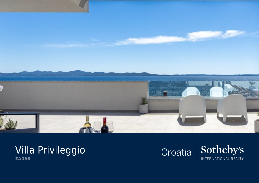

## Villa Privileggio **ZADAR**

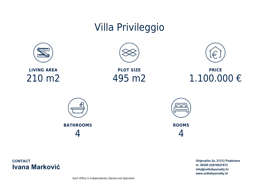## Villa Privileggio



**LIVING AREA** 210 m2





**PRICE** 1.100.000 €





**ROOMS** 4

**CONTACT Ivana Marković**  Grljevačka 2a, 21312 Podstrana m: 00385 (0)916027672 info@sothebysrealty.hr www.sothebysrealty.hr

Each Office is Independently Owned and Operated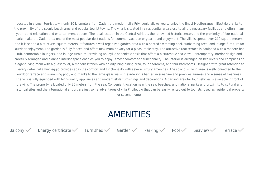Located in a small tourist town, only 10 kilometers from Zadar, the modern villa Privileggio allows you to enjoy the finest Mediterranean lifestyle thanks to the proximity of the scenic beach area and popular tourist towns. The villa is situated in a residential area close to all the necessary facilities and offers many year-round relaxation and entertainment options. The ideal location in the Central Adriatic, the renowned historic center, and the proximity of four national parks make the Zadar area one of the most popular destinations for summer vacation or year-round enjoyment. The villa is spread over 210 square meters, and it is set on a plot of 495 square meters. It features a well-organized garden area with a heated swimming pool, sunbathing area, and lounge furniture for outdoor enjoyment. The garden is fully fenced and offers maximum privacy for a pleasurable stay. The attractive roof terrace is equipped with a modern hot

tub, comfortable loungers, and lounge furniture, providing an idyllic hedonistic oasis that offers a picturesque sea view. Contemporary interior design and carefully arranged and planned interior space enables you to enjoy utmost comfort and functionality. The interior is arranged on two levels and comprises an elegant living room with a guest toilet, a modern kitchen with an adjoining dining area, four bedrooms, and four bathrooms. Designed with great attention to every detail, villa Privileggio provides absolute comfort and functionality with several luxury amenities. The spacious living area is well-connected to the outdoor terrace and swimming pool, and thanks to the large glass walls, the interior is bathed in sunshine and provides airiness and a sense of freshness. The villa is fully equipped with high-quality appliances and modern-style furnishings and decorations. A parking area for four vehicles is available in front of the villa. The property is located only 35 meters from the sea. Convenient location near the sea, beaches, and national parks and proximity to cultural and historical sites and the international airport are just some advantages of villa Privileggio that can be easily rented out to tourists, used as residential property or second home.

## AMENITIES

Balcony  $\checkmark$  Energy certificate  $\checkmark$  Furnished Garden  $\checkmark$  Parking  $\checkmark$  Pool Seaview Terrace  $\checkmark$